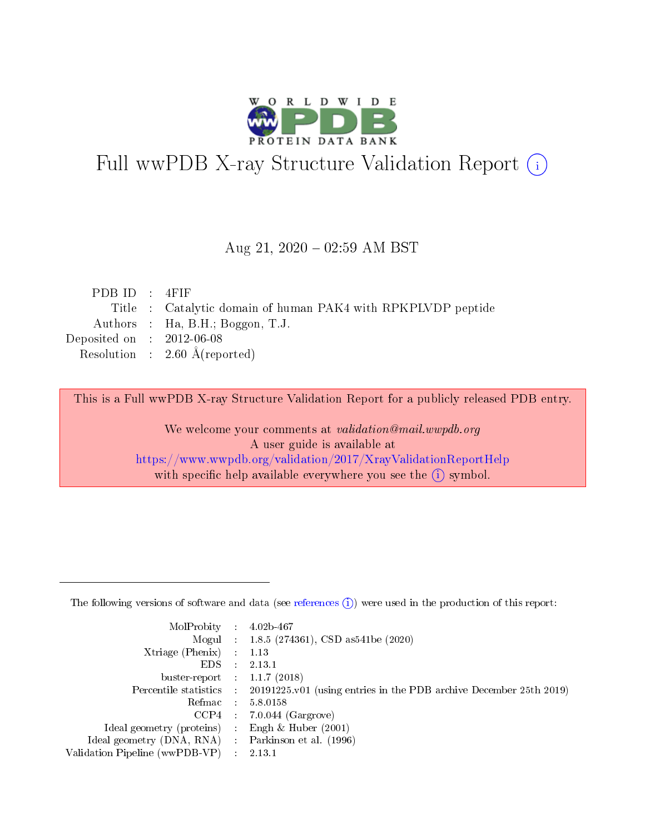

# Full wwPDB X-ray Structure Validation Report (i)

#### Aug 21,  $2020 - 02:59$  AM BST

| PDBID : 4FIF                |                                                              |
|-----------------------------|--------------------------------------------------------------|
|                             | Title : Catalytic domain of human PAK4 with RPKPLVDP peptide |
|                             | Authors : Ha, B.H.; Boggon, T.J.                             |
| Deposited on : $2012-06-08$ |                                                              |
|                             | Resolution : $2.60 \text{ Å}$ (reported)                     |

This is a Full wwPDB X-ray Structure Validation Report for a publicly released PDB entry.

We welcome your comments at validation@mail.wwpdb.org A user guide is available at <https://www.wwpdb.org/validation/2017/XrayValidationReportHelp> with specific help available everywhere you see the  $(i)$  symbol.

The following versions of software and data (see [references](https://www.wwpdb.org/validation/2017/XrayValidationReportHelp#references)  $(1)$ ) were used in the production of this report:

| MolProbity :                   |            | $4.02b - 467$                                                      |
|--------------------------------|------------|--------------------------------------------------------------------|
|                                |            | Mogul : $1.8.5$ (274361), CSD as 541be (2020)                      |
| $X$ triage (Phenix) :          |            | 1.13                                                               |
| EDS.                           |            | 2.13.1                                                             |
| buster-report : $1.1.7$ (2018) |            |                                                                    |
| Percentile statistics :        |            | 20191225.v01 (using entries in the PDB archive December 25th 2019) |
| Refmac                         | $\sim 100$ | 5.8.0158                                                           |
| CCP4                           |            | $7.0.044$ (Gargrove)                                               |
| Ideal geometry (proteins) :    |            | Engh $\&$ Huber (2001)                                             |
| Ideal geometry (DNA, RNA) :    |            | Parkinson et al. (1996)                                            |
| Validation Pipeline (wwPDB-VP) |            | 2.13.1                                                             |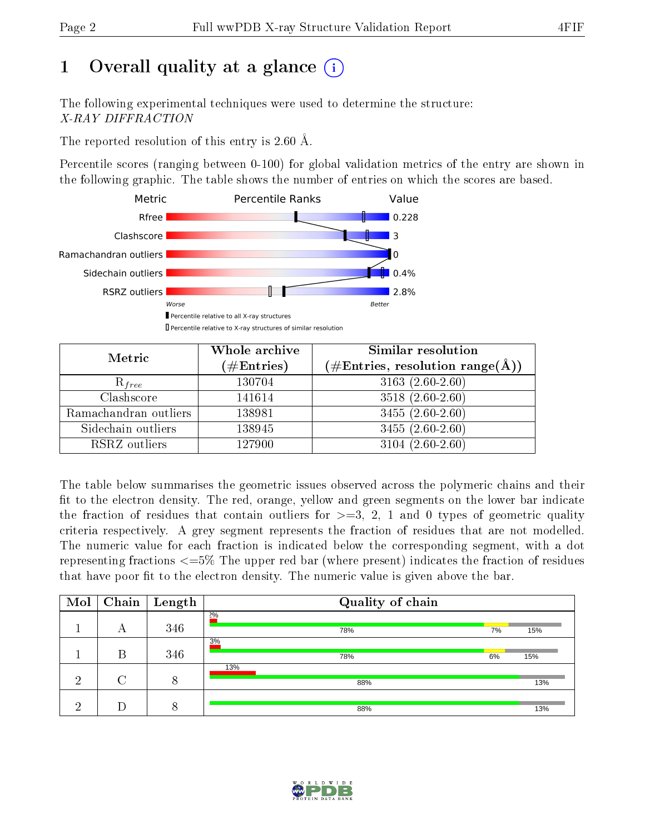## 1 [O](https://www.wwpdb.org/validation/2017/XrayValidationReportHelp#overall_quality)verall quality at a glance  $(i)$

The following experimental techniques were used to determine the structure: X-RAY DIFFRACTION

The reported resolution of this entry is 2.60 Å.

Percentile scores (ranging between 0-100) for global validation metrics of the entry are shown in the following graphic. The table shows the number of entries on which the scores are based.



| Metric                | Whole archive<br>$(\#\mathrm{Entries})$ | Similar resolution<br>$(\#\text{Entries}, \text{resolution range}(\text{\AA}))$ |
|-----------------------|-----------------------------------------|---------------------------------------------------------------------------------|
| $R_{free}$            | 130704                                  | $3163(2.60-2.60)$                                                               |
| Clashscore            | 141614                                  | $3518(2.60-2.60)$                                                               |
| Ramachandran outliers | 138981                                  | $3455(2.60-2.60)$                                                               |
| Sidechain outliers    | 138945                                  | $3455(2.60-2.60)$                                                               |
| RSRZ outliers         | 127900                                  | $3104(2.60-2.60)$                                                               |

The table below summarises the geometric issues observed across the polymeric chains and their fit to the electron density. The red, orange, yellow and green segments on the lower bar indicate the fraction of residues that contain outliers for  $>=3, 2, 1$  and 0 types of geometric quality criteria respectively. A grey segment represents the fraction of residues that are not modelled. The numeric value for each fraction is indicated below the corresponding segment, with a dot representing fractions  $\epsilon=5\%$  The upper red bar (where present) indicates the fraction of residues that have poor fit to the electron density. The numeric value is given above the bar.

| Mol |   | $\boxed{\text{Chain}}$ Length | Quality of chain |    |     |
|-----|---|-------------------------------|------------------|----|-----|
|     | А | 346                           | 2%<br>78%        | 7% | 15% |
|     | В | 346                           | 3%<br>78%        | 6% | 15% |
| ച   |   | 8                             | 13%<br>88%       |    | 13% |
| ച   |   | 8                             | 88%              |    | 13% |

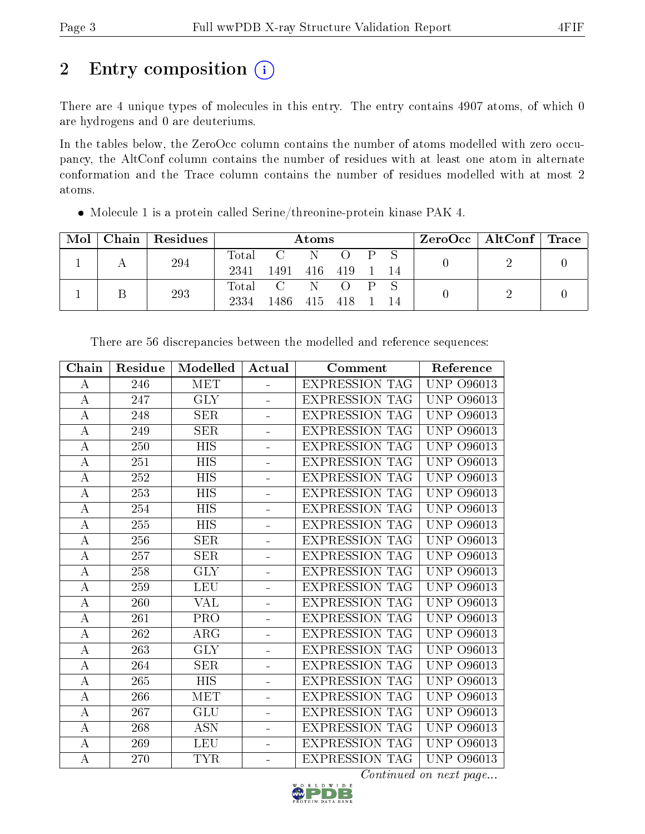# 2 Entry composition (i)

There are 4 unique types of molecules in this entry. The entry contains 4907 atoms, of which 0 are hydrogens and 0 are deuteriums.

In the tables below, the ZeroOcc column contains the number of atoms modelled with zero occupancy, the AltConf column contains the number of residues with at least one atom in alternate conformation and the Trace column contains the number of residues modelled with at most 2 atoms.

| Mol |     | $\vert$ Chain $\vert$ Residues |       | Atoms           |  |  |    |                         | $\text{ZeroOcc}$   AltConf   Trace |  |
|-----|-----|--------------------------------|-------|-----------------|--|--|----|-------------------------|------------------------------------|--|
|     |     | 294                            |       | Total C N O     |  |  |    | $\mathbf{P} \mathbf{S}$ |                                    |  |
|     |     |                                | 2341  | 1491 416 419    |  |  |    | $-14$                   |                                    |  |
|     |     |                                |       | Total C N O P S |  |  |    |                         |                                    |  |
|     | 293 | 2334                           | 1486- | 415 418         |  |  | 14 |                         |                                    |  |

Molecule 1 is a protein called Serine/threonine-protein kinase PAK 4.

| Chain            | Residue          | Modelled   | Actual                   | Comment               | Reference                      |
|------------------|------------------|------------|--------------------------|-----------------------|--------------------------------|
| A                | 246              | <b>MET</b> | ÷.                       | <b>EXPRESSION TAG</b> | <b>UNP 096013</b>              |
| $\boldsymbol{A}$ | $\overline{2}47$ | GLY        | ÷,                       | <b>EXPRESSION TAG</b> | $\overline{\text{UNP}}$ 096013 |
| $\bf{A}$         | 248              | <b>SER</b> |                          | <b>EXPRESSION TAG</b> | <b>UNP 096013</b>              |
| А                | 249              | <b>SER</b> | L.                       | <b>EXPRESSION TAG</b> | <b>UNP 096013</b>              |
| $\bf{A}$         | 250              | <b>HIS</b> | L,                       | <b>EXPRESSION TAG</b> | <b>UNP 096013</b>              |
| $\boldsymbol{A}$ | 251              | HIS        | $\blacksquare$           | <b>EXPRESSION TAG</b> | <b>UNP</b><br>O96013           |
| $\overline{A}$   | 252              | <b>HIS</b> | ÷                        | <b>EXPRESSION TAG</b> | <b>UNP</b><br>O96013           |
| A                | 253              | <b>HIS</b> | $\overline{\phantom{0}}$ | <b>EXPRESSION TAG</b> | <b>UNP</b><br>O96013           |
| $\bf{A}$         | 254              | <b>HIS</b> | $\equiv$                 | <b>EXPRESSION TAG</b> | <b>UNP</b><br>O96013           |
| A                | 255              | <b>HIS</b> | $\equiv$                 | <b>EXPRESSION TAG</b> | <b>UNP</b><br>O96013           |
| $\boldsymbol{A}$ | 256              | <b>SER</b> | ÷.                       | <b>EXPRESSION TAG</b> | <b>UNP 096013</b>              |
| $\bf{A}$         | 257              | <b>SER</b> |                          | <b>EXPRESSION TAG</b> | UNP<br>O96013                  |
| A                | 258              | <b>GLY</b> | ÷.                       | <b>EXPRESSION TAG</b> | <b>UNP 096013</b>              |
| $\boldsymbol{A}$ | 259              | <b>LEU</b> | $\equiv$                 | <b>EXPRESSION TAG</b> | UNP<br>O96013                  |
| А                | 260              | VAL        | $\equiv$                 | <b>EXPRESSION TAG</b> | <b>UNP</b><br>O96013           |
| $\boldsymbol{A}$ | 261              | <b>PRO</b> | $\equiv$                 | <b>EXPRESSION TAG</b> | <b>UNP</b><br>O96013           |
| $\boldsymbol{A}$ | 262              | ARG        | ÷.                       | <b>EXPRESSION TAG</b> | <b>UNP</b><br>O96013           |
| $\bf{A}$         | 263              | <b>GLY</b> | $\blacksquare$           | <b>EXPRESSION TAG</b> | <b>UNP</b><br>O96013           |
| A                | 264              | <b>SER</b> | $\equiv$                 | <b>EXPRESSION TAG</b> | UNP<br>O96013                  |
| $\boldsymbol{A}$ | 265              | <b>HIS</b> |                          | <b>EXPRESSION TAG</b> | UNP<br>O96013                  |
| A                | 266              | <b>MET</b> | L,                       | <b>EXPRESSION TAG</b> | <b>UNP 096013</b>              |
| $\boldsymbol{A}$ | 267              | <b>GLU</b> | ÷                        | <b>EXPRESSION TAG</b> | <b>UNP</b><br>O96013           |
| $\bf{A}$         | 268              | <b>ASN</b> | $\overline{\phantom{0}}$ | <b>EXPRESSION TAG</b> | <b>UNP</b><br>O96013           |
| $\boldsymbol{A}$ | 269              | <b>LEU</b> | $\blacksquare$           | <b>EXPRESSION TAG</b> | <b>UNP</b><br>O96013           |
| $\bf{A}$         | 270              | <b>TYR</b> | $\overline{\phantom{0}}$ | <b>EXPRESSION TAG</b> | <b>UNP 096013</b>              |

There are 56 discrepancies between the modelled and reference sequences:

 $\overline{Continued}$  on next page...

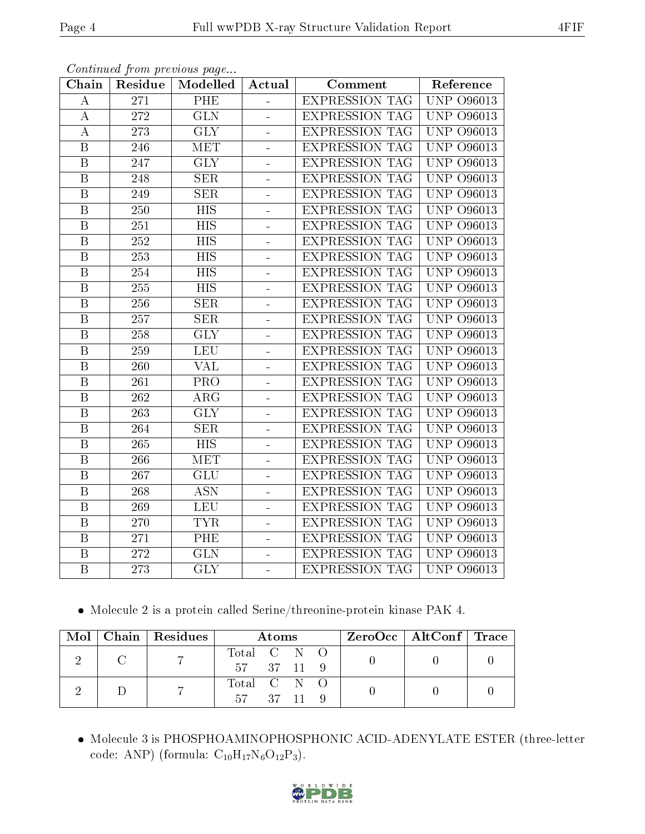| Chain                   | Residue          | Modelled                | Actual                   | Comment               | Reference                                       |
|-------------------------|------------------|-------------------------|--------------------------|-----------------------|-------------------------------------------------|
| A                       | 271              | PHE                     |                          | <b>EXPRESSION TAG</b> | <b>UNP 096013</b>                               |
| $\bf{A}$                | 272              | $\overline{\text{GLN}}$ | ÷,                       | <b>EXPRESSION TAG</b> | <b>UNP 096013</b>                               |
| $\boldsymbol{A}$        | 273              | $\overline{\text{GLY}}$ | $\blacksquare$           | <b>EXPRESSION TAG</b> | <b>UNP 096013</b>                               |
| $\, {\bf B}$            | 246              | MET                     | $\overline{\phantom{0}}$ | <b>EXPRESSION TAG</b> | <b>UNP</b><br>O96013                            |
| $\overline{\mathrm{B}}$ | 247              | $\overline{\text{GLY}}$ | ÷,                       | <b>EXPRESSION TAG</b> | <b>UNP</b><br>O96013                            |
| $\, {\bf B}$            | 248              | <b>SER</b>              | $\overline{a}$           | <b>EXPRESSION TAG</b> | UNP<br>O96013                                   |
| $\boldsymbol{B}$        | 249              | <b>SER</b>              | $\overline{\phantom{0}}$ | <b>EXPRESSION TAG</b> | UNP<br>O96013                                   |
| $\overline{B}$          | 250              | <b>HIS</b>              | ÷,                       | <b>EXPRESSION TAG</b> | UNP<br>O96013                                   |
| $\, {\bf B}$            | 251              | <b>HIS</b>              | ÷                        | <b>EXPRESSION TAG</b> | <b>UNP</b><br>O96013                            |
| $\, {\bf B}$            | 252              | <b>HIS</b>              | ÷                        | <b>EXPRESSION TAG</b> | <b>UNP</b><br>O96013                            |
| $\mathbf B$             | $\overline{253}$ | <b>HIS</b>              | ÷,                       | <b>EXPRESSION TAG</b> | <b>UNP</b><br>O96013                            |
| $\boldsymbol{B}$        | $\overline{254}$ | <b>HIS</b>              | ÷,                       | <b>EXPRESSION TAG</b> | <b>UNP 096013</b>                               |
| $\boldsymbol{B}$        | 255              | <b>HIS</b>              | $\equiv$                 | <b>EXPRESSION TAG</b> | UNP<br>O96013                                   |
| $\mathbf B$             | 256              | <b>SER</b>              |                          | <b>EXPRESSION TAG</b> | <b>UNP</b><br>O96013                            |
| $\boldsymbol{B}$        | 257              | SER                     | $\blacksquare$           | <b>EXPRESSION TAG</b> | UNP<br>O96013                                   |
| $\mathbf B$             | 258              | <b>GLY</b>              | ÷                        | <b>EXPRESSION TAG</b> | <b>UNP 096013</b>                               |
| $\overline{\mathrm{B}}$ | 259              | <b>LEU</b>              |                          | <b>EXPRESSION TAG</b> | <b>UNP 096013</b>                               |
| $\, {\bf B}$            | 260              | <b>VAL</b>              | ÷                        | <b>EXPRESSION TAG</b> | <b>UNP 096013</b>                               |
| $\boldsymbol{B}$        | 261              | PRO                     | ÷                        | <b>EXPRESSION TAG</b> | <b>UNP 096013</b>                               |
| $\overline{B}$          | 262              | $\overline{\text{ARG}}$ |                          | <b>EXPRESSION TAG</b> | <b>UNP 096013</b>                               |
| $\boldsymbol{B}$        | 263              | <b>GLY</b>              | $\blacksquare$           | <b>EXPRESSION TAG</b> | UNP<br>O96013                                   |
| $\overline{\mathrm{B}}$ | 264              | SER                     | $\frac{1}{2}$            | <b>EXPRESSION TAG</b> | UNP<br>O96013                                   |
| $\, {\bf B}$            | 265              | <b>HIS</b>              |                          | <b>EXPRESSION TAG</b> | <b>UNP 096013</b>                               |
| $\, {\bf B}$            | $\overline{266}$ | <b>MET</b>              | ÷                        | EXPRESSION TAG        | $\overline{\text{UNP}}$<br>$\overline{O}$ 96013 |
| $\boldsymbol{B}$        | 267              | <b>GLU</b>              | $\frac{1}{2}$            | <b>EXPRESSION TAG</b> | <b>UNP 096013</b>                               |
| $\, {\bf B}$            | 268              | $\overline{ASN}$        |                          | <b>EXPRESSION TAG</b> | <b>UNP 096013</b>                               |
| $\overline{B}$          | 269              | <b>LEU</b>              | $\blacksquare$           | <b>EXPRESSION TAG</b> | <b>UNP</b><br>O96013                            |
| $\mathbf B$             | 270              | <b>TYR</b>              | $\overline{a}$           | <b>EXPRESSION TAG</b> | UNP<br>O96013                                   |
| $\overline{B}$          | 271              | PHE                     |                          | <b>EXPRESSION TAG</b> | <b>UNP 096013</b>                               |
| $\, {\bf B}$            | 272              | <b>GLN</b>              | ÷                        | <b>EXPRESSION TAG</b> | <b>UNP</b><br>O96013                            |
| $\boldsymbol{B}$        | 273              | <b>GLY</b>              | ÷.                       | <b>EXPRESSION TAG</b> | $\overline{UNP}$ O96013                         |

Continued from previous page...

Molecule 2 is a protein called Serine/threonine-protein kinase PAK 4.

|  | $Mol$   Chain   Residues | Atoms       |  |  |  | $\rm ZeroOcc \mid AltConf \mid Trace$ |  |
|--|--------------------------|-------------|--|--|--|---------------------------------------|--|
|  |                          | Total C N O |  |  |  |                                       |  |
|  |                          | 57 37 11 9  |  |  |  |                                       |  |
|  |                          | Total C N O |  |  |  |                                       |  |
|  |                          | 57 37 11 9  |  |  |  |                                       |  |

 Molecule 3 is PHOSPHOAMINOPHOSPHONIC ACID-ADENYLATE ESTER (three-letter code: ANP) (formula:  $\mathrm{C}_{10}\mathrm{H}_{17}\mathrm{N}_{6}\mathrm{O}_{12}\mathrm{P}_{3}$ ).

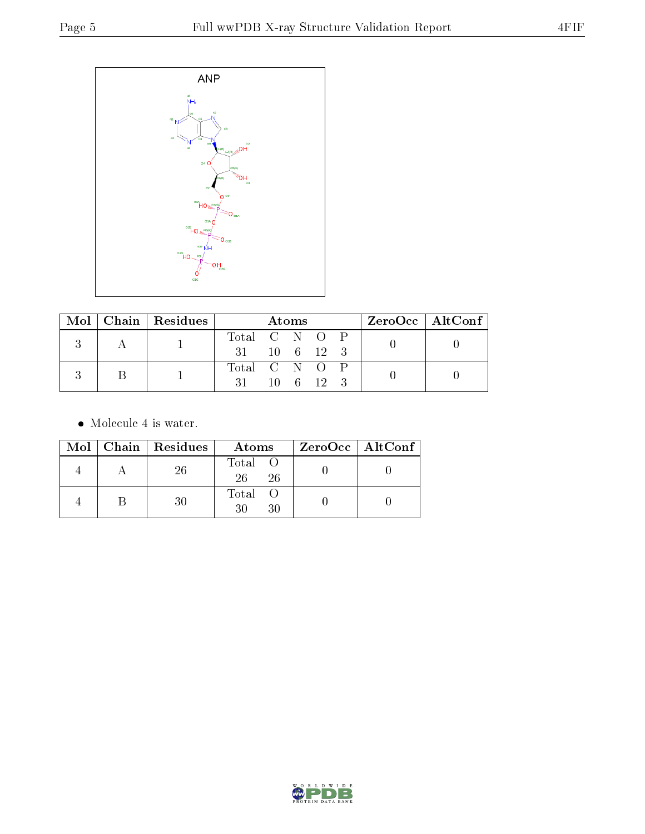

|  | $Mol$   Chain   Residues | Atoms                  |  |  |  | $ZeroOcc \mid AltConf \mid$ |  |  |
|--|--------------------------|------------------------|--|--|--|-----------------------------|--|--|
|  |                          | Total C N O P          |  |  |  |                             |  |  |
|  |                          | 31 10 6 12 3           |  |  |  |                             |  |  |
|  |                          | Total C N O P          |  |  |  |                             |  |  |
|  |                          | $31 \t10 \t6 \t12 \t3$ |  |  |  |                             |  |  |

• Molecule 4 is water.

|  | Mol   Chain   Residues | Atoms               | ZeroOcc   AltConf |
|--|------------------------|---------------------|-------------------|
|  | 26                     | Total O<br>26<br>26 |                   |
|  | 30                     | Total O<br>30<br>30 |                   |

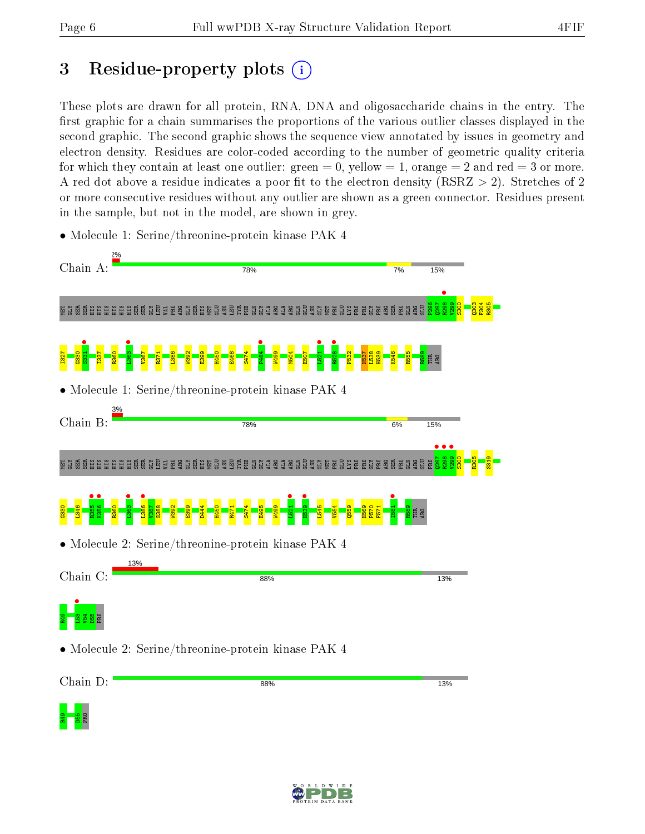R49<br><mark>PB</mark><br>PB<br>PRO

## 3 Residue-property plots  $(i)$

These plots are drawn for all protein, RNA, DNA and oligosaccharide chains in the entry. The first graphic for a chain summarises the proportions of the various outlier classes displayed in the second graphic. The second graphic shows the sequence view annotated by issues in geometry and electron density. Residues are color-coded according to the number of geometric quality criteria for which they contain at least one outlier: green  $= 0$ , yellow  $= 1$ , orange  $= 2$  and red  $= 3$  or more. A red dot above a residue indicates a poor fit to the electron density ( $RSRZ > 2$ ). Stretches of 2 or more consecutive residues without any outlier are shown as a green connector. Residues present in the sample, but not in the model, are shown in grey.

• Molecule 1: Serine/threonine-protein kinase PAK 4

| Chain A:       | 78%                                                                        | 7%            | 15%      |  |
|----------------|----------------------------------------------------------------------------|---------------|----------|--|
|                | <u> 결혼</u> 결<br>용 용<br>복건<br>ਖ਼ੁ                                           | <b>GEESE</b>  | និ និ និ |  |
|                |                                                                            |               |          |  |
|                | • Molecule 1: Serine/threonine-protein kinase PAK 4                        |               |          |  |
| 3%<br>Chain B: | 78%                                                                        | 6%            | 15%      |  |
| ត្តិទីធ្នូ     | <b>Hüübis Süübis 1988 SEE 1999</b><br>묪<br>ដូឆ្ន<br>현육표<br>품 걸<br>E.<br>H. | G 2 3 2 3 2 3 |          |  |
|                |                                                                            |               |          |  |
|                | $\bullet$ Molecule 2: Serine/threonine-protein kinase PAK 4                |               |          |  |
| Chain C:       | 13%<br>88%                                                                 |               | 13%      |  |
|                |                                                                            |               |          |  |
|                | • Molecule 2: Serine/threonine-protein kinase PAK 4                        |               |          |  |
| Chain D:       | 88%                                                                        |               | 13%      |  |
| a kacamatan    |                                                                            |               |          |  |

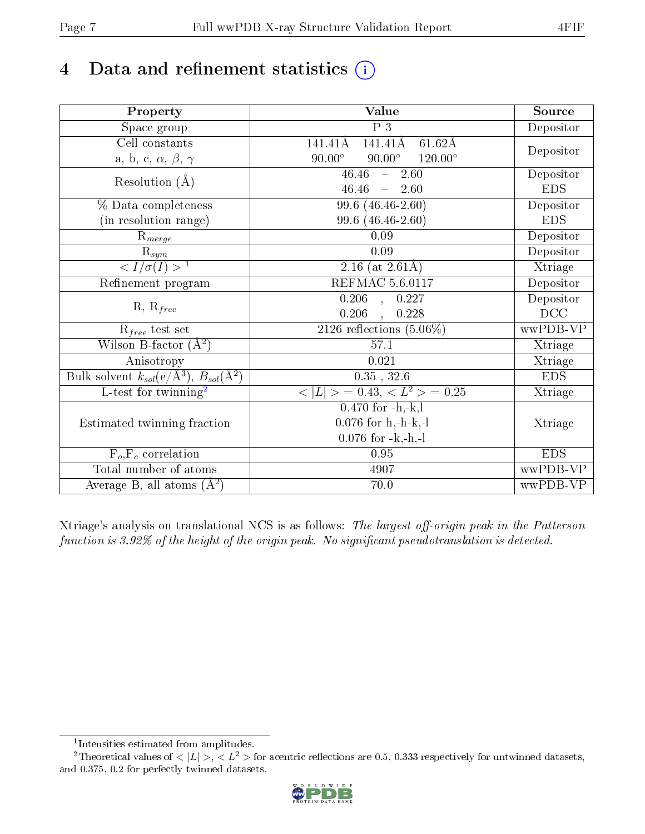## 4 Data and refinement statistics  $(i)$

| Property                                                             | Value                                              | Source     |
|----------------------------------------------------------------------|----------------------------------------------------|------------|
| Space group                                                          | P <sub>3</sub>                                     | Depositor  |
| Cell constants                                                       | 141.41Å<br>$61.62\text{\AA}$<br>141.41Å            |            |
| a, b, c, $\alpha$ , $\beta$ , $\gamma$                               | $90.00^\circ$<br>$90.00^\circ$<br>$120.00^{\circ}$ | Depositor  |
| Resolution $(\AA)$                                                   | 46.46<br>$\frac{1}{2}$<br>2.60                     | Depositor  |
|                                                                      | 46.46<br>$-2.60$                                   | <b>EDS</b> |
| % Data completeness                                                  | $99.6(46.46-2.60)$                                 | Depositor  |
| (in resolution range)                                                | 99.6 (46.46-2.60)                                  | <b>EDS</b> |
| $R_{merge}$                                                          | 0.09                                               | Depositor  |
| $\mathrm{\bar{R}_{\it sym}}$                                         | 0.09                                               | Depositor  |
| $\frac{1}{\sigma(I)} > 1$                                            | $\overline{2.16}$ (at 2.61Å)                       | Xtriage    |
| Refinement program                                                   | <b>REFMAC 5.6.0117</b>                             | Depositor  |
| $R, R_{free}$                                                        | $0.206$ , $0.227$                                  | Depositor  |
|                                                                      | 0.206<br>0.228<br>$\sim$                           | DCC        |
| $R_{free}$ test set                                                  | 2126 reflections $(5.06\%)$                        | wwPDB-VP   |
| Wilson B-factor $(A^2)$                                              | 57.1                                               | Xtriage    |
| Anisotropy                                                           | 0.021                                              | Xtriage    |
| Bulk solvent $k_{sol}(e/\mathring{A}^3)$ , $B_{sol}(\mathring{A}^2)$ | $0.35$ , $32.6$                                    | <b>EDS</b> |
| L-test for twinning <sup>2</sup>                                     | $< L >$ = 0.43, $< L2$ > = 0.25                    | Xtriage    |
|                                                                      | $\overline{0.470}$ for -h,-k,l                     |            |
| Estimated twinning fraction                                          | $0.076$ for h,-h-k,-l                              | Xtriage    |
|                                                                      | $0.076$ for $-k,-h,-l$                             |            |
| $F_o, F_c$ correlation                                               | 0.95                                               | <b>EDS</b> |
| Total number of atoms                                                | 4907                                               | wwPDB-VP   |
| Average B, all atoms $(A^2)$                                         | 70.0                                               | wwPDB-VP   |

Xtriage's analysis on translational NCS is as follows: The largest off-origin peak in the Patterson function is  $3.92\%$  of the height of the origin peak. No significant pseudotranslation is detected.

<sup>&</sup>lt;sup>2</sup>Theoretical values of  $\langle |L| \rangle$ ,  $\langle L^2 \rangle$  for acentric reflections are 0.5, 0.333 respectively for untwinned datasets, and 0.375, 0.2 for perfectly twinned datasets.



<span id="page-6-1"></span><span id="page-6-0"></span><sup>1</sup> Intensities estimated from amplitudes.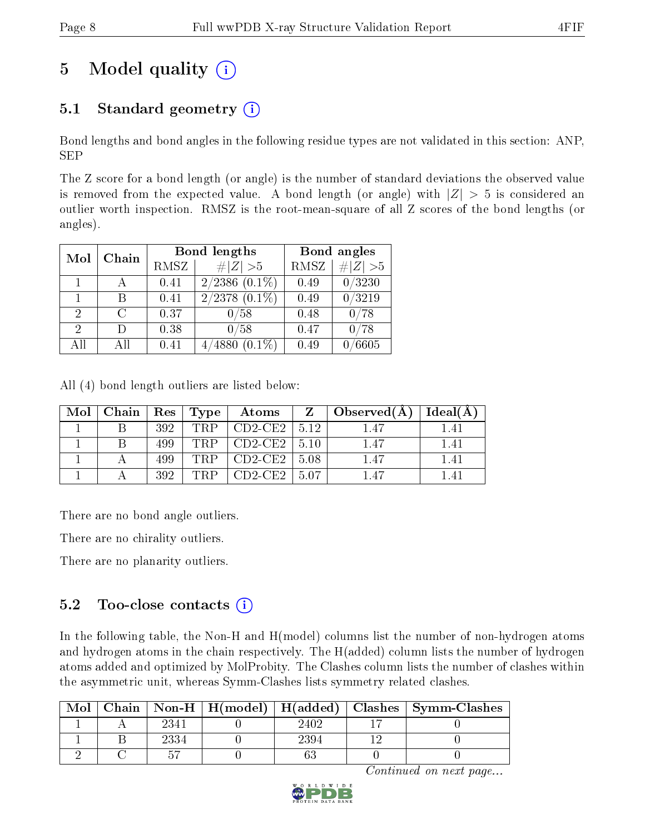## 5 Model quality  $(i)$

## 5.1 Standard geometry  $(i)$

Bond lengths and bond angles in the following residue types are not validated in this section: ANP, SEP

The Z score for a bond length (or angle) is the number of standard deviations the observed value is removed from the expected value. A bond length (or angle) with  $|Z| > 5$  is considered an outlier worth inspection. RMSZ is the root-mean-square of all Z scores of the bond lengths (or angles).

| Mol | Chain  |      | Bond lengths                 | Bond angles |          |  |
|-----|--------|------|------------------------------|-------------|----------|--|
|     |        | RMSZ | # $ Z >5$                    | <b>RMSZ</b> | # Z  > 5 |  |
|     |        | 0.41 | $2/2386$ $(0.1\%)$           | 0.49        | 0/3230   |  |
|     |        | 0.41 | $2/2378$ $(0.1\%)$           | 0.49        | 0/3219   |  |
| 2   | C      | 0.37 | 0/58                         | 0.48        | ′78      |  |
| 2   | $\Box$ | 0.38 | 0/58                         | 0.47        | ′78      |  |
| All | ΑH     | 0.41 | $^{\prime}4880$<br>$(0.1\%)$ | 0.49        | 6605     |  |

All (4) bond length outliers are listed below:

| Mol | Chain | $+$ Res $+$ | Type | Atoms     |      | Observed $(A)$ | Ideal(A) |
|-----|-------|-------------|------|-----------|------|----------------|----------|
|     |       | 392         | TRP  | $CD2-CE2$ | 5.12 |                | $\pm 4$  |
|     |       | 499         | TRP  | $CD2-CE2$ | 5.10 | 1.47           | 1.41     |
|     |       | 499         | TRP  | $CD2-CE2$ | 5.08 | 1.47           | 141      |
|     |       | 392         | TRP  | $CD2-CE2$ | 5.07 | $+47$          |          |

There are no bond angle outliers.

There are no chirality outliers.

There are no planarity outliers.

#### $5.2$  Too-close contacts  $(i)$

In the following table, the Non-H and H(model) columns list the number of non-hydrogen atoms and hydrogen atoms in the chain respectively. The H(added) column lists the number of hydrogen atoms added and optimized by MolProbity. The Clashes column lists the number of clashes within the asymmetric unit, whereas Symm-Clashes lists symmetry related clashes.

| Mol |      |      | Chain   Non-H   H(model)   H(added)   Clashes   Symm-Clashes |
|-----|------|------|--------------------------------------------------------------|
|     | 2341 | 2402 |                                                              |
|     | 2334 | 2394 |                                                              |
|     |      |      |                                                              |

Continued on next page...

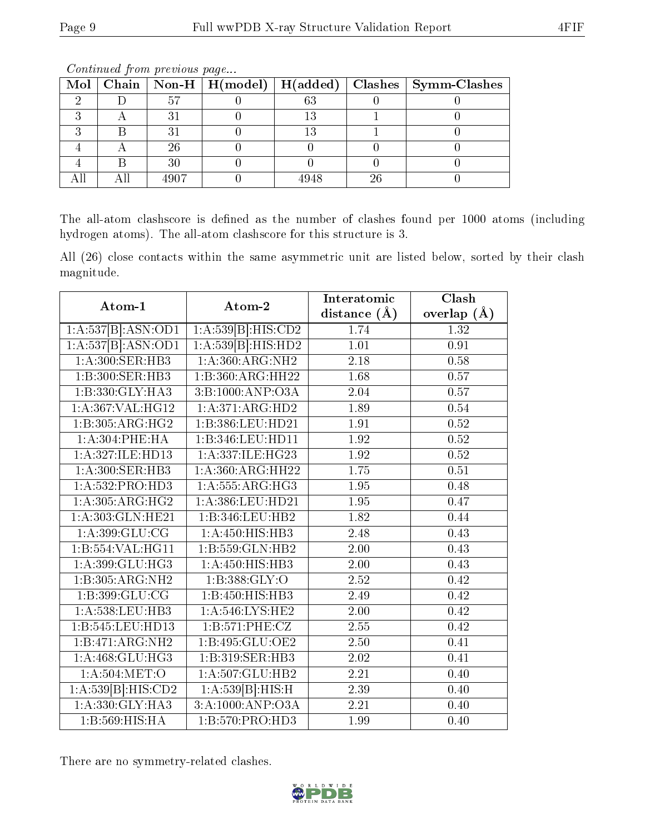|  |        |      |    | Mol   Chain   Non-H   H(model)   H(added)   Clashes   Symm-Clashes |
|--|--------|------|----|--------------------------------------------------------------------|
|  | 51     | 0 വ  |    |                                                                    |
|  |        |      |    |                                                                    |
|  |        |      |    |                                                                    |
|  | 26     |      |    |                                                                    |
|  | $30\,$ |      |    |                                                                    |
|  | 4907   | 4948 | 26 |                                                                    |

Continued from previous page...

The all-atom clashscore is defined as the number of clashes found per 1000 atoms (including hydrogen atoms). The all-atom clashscore for this structure is 3.

All (26) close contacts within the same asymmetric unit are listed below, sorted by their clash magnitude.

|                      |                     | Interatomic       | Clash           |
|----------------------|---------------------|-------------------|-----------------|
| Atom-1               | Atom-2              | distance $(\AA)$  | overlap $(\AA)$ |
| 1:A:537[B].ASN:OD1   | 1:A:539[B]:HIS:CD2  | 1.74              | 1.32            |
| 1:A:537[B]:ASN:OD1   | 1:A:539[B]:HIS:HD2  | 1.01              | 0.91            |
| 1: A:300: SER: HB3   | 1:A:360:ARG:NH2     | 2.18              | 0.58            |
| 1:B:300:SER:HB3      | 1:B:360:ARG:HH22    | 1.68              | 0.57            |
| 1:B:330:GLY:HA3      | 3:B:1000:ANP:O3A    | 2.04              | 0.57            |
| 1:A:367:VAL:HG12     | 1:A:371:ARG:HD2     | 1.89              | 0.54            |
| 1:B:305:ARG:HG2      | 1:B:386:LEU:HD21    | 1.91              | 0.52            |
| 1:A:304:PHE:HA       | 1:B:346:LEU:HD11    | 1.92              | 0.52            |
| 1:A:327:ILE:HD13     | 1:A:337:ILE:HG23    | 1.92              | 0.52            |
| 1:A:300:SER:HB3      | 1:A:360:ARG:HH22    | 1.75              | 0.51            |
| 1: A: 532: PRO: HD3  | 1: A: 555: ARG: HG3 | $\overline{1.95}$ | 0.48            |
| 1:A:305:ARG:HG2      | 1:A:386:LEU:HD21    | $\overline{1.95}$ | 0.47            |
| 1: A: 303: GLN: HE21 | 1:B:346:LEU:HB2     | 1.82              | 0.44            |
| 1: A:399: GLU:CG     | 1:A:450:HIS:HB3     | 2.48              | 0.43            |
| 1:B:554:VAL:HG11     | 1:B:559:GLN:HB2     | 2.00              | 0.43            |
| 1: A:399: GLU: HG3   | 1: A: 450: HIS: HB3 | 2.00              | 0.43            |
| 1:B:305:ARG:NH2      | 1:B:388:GLY:O       | 2.52              | 0.42            |
| 1:B:399:GLU:CG       | 1:B:450:HIS:HB3     | 2.49              | 0.42            |
| 1:A:538:LEU:HB3      | 1:A:546:LYS:HE2     | 2.00              | 0.42            |
| 1:B:545:LEU:HD13     | 1:B:571:PHE:CZ      | 2.55              | 0.42            |
| 1:B:471:ARG:NH2      | 1:B:495:GLU:OE2     | 2.50              | 0.41            |
| 1:A:468:GLU:HG3      | 1:B:319:SER:HB3     | 2.02              | 0.41            |
| 1: A:504:MET:O       | 1:A:507:GLU:HB2     | $\overline{2.21}$ | 0.40            |
| 1:A:539[B]:HIS:CD2   | 1:A:539[B]:HIS:H    | 2.39              | 0.40            |
| 1:A:330:GLY:HA3      | 3:A:1000:ANP:O3A    | 2.21              | 0.40            |
| 1:B:569:HIS:HA       | 1:B:570:PRO:HD3     | 1.99              | 0.40            |

There are no symmetry-related clashes.

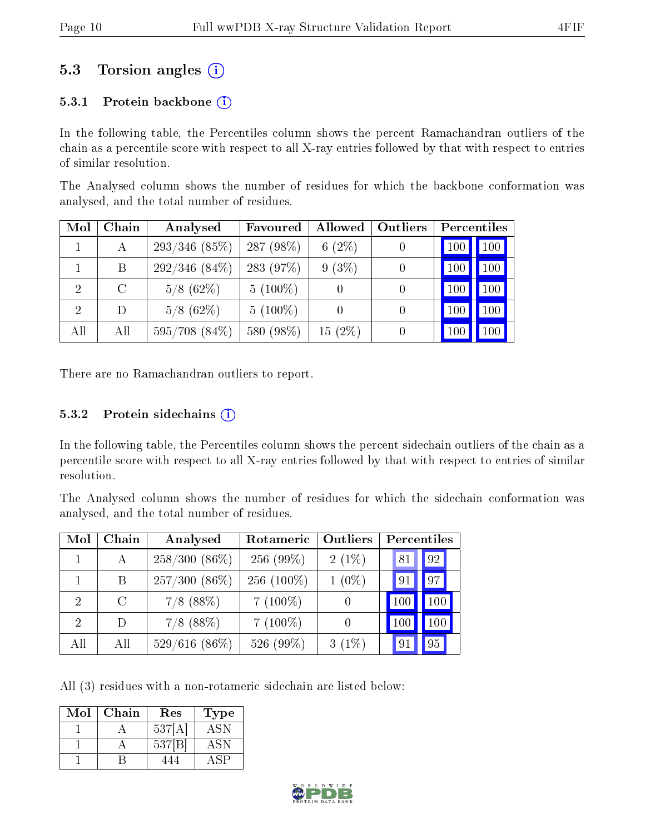### 5.3 Torsion angles (i)

#### 5.3.1 Protein backbone  $(i)$

In the following table, the Percentiles column shows the percent Ramachandran outliers of the chain as a percentile score with respect to all X-ray entries followed by that with respect to entries of similar resolution.

The Analysed column shows the number of residues for which the backbone conformation was analysed, and the total number of residues.

| Mol            | Chain   | Analysed        | Favoured   | Allowed   | Outliers         | <b>Percentiles</b> |     |
|----------------|---------|-----------------|------------|-----------|------------------|--------------------|-----|
|                | А       | $293/346$ (85%) | 287 (98%)  | $6(2\%)$  |                  | 100                | 100 |
|                | B       | $292/346(84\%)$ | 283 (97%)  | 9(3%)     | $\left( \right)$ | 100                | 100 |
| $\overline{2}$ | $\rm C$ | $5/8$ (62\%)    | $5(100\%)$ |           | 0                | 100                | 100 |
| 2              | D       | $5/8$ (62\%)    | $5(100\%)$ |           |                  | 100                | 100 |
| All            | All     | 595/708 (84%)   | 580 (98%)  | $15(2\%)$ | $\left( \right)$ | 100                | 100 |

There are no Ramachandran outliers to report.

#### $5.3.2$  Protein sidechains  $(i)$

In the following table, the Percentiles column shows the percent sidechain outliers of the chain as a percentile score with respect to all X-ray entries followed by that with respect to entries of similar resolution.

The Analysed column shows the number of residues for which the sidechain conformation was analysed, and the total number of residues.

| Mol                         | Chain   | Analysed        | Outliers<br>Rotameric |          | <b>Percentiles</b> |         |  |
|-----------------------------|---------|-----------------|-----------------------|----------|--------------------|---------|--|
|                             | A       | $258/300(86\%)$ | $256(99\%)$           | $2(1\%)$ | 81                 | 92      |  |
|                             | Β       | $257/300(86\%)$ | 256 $(100\%)$         | $1(0\%)$ | 91                 | 97      |  |
| $\mathcal{D}_{\mathcal{L}}$ | $\rm C$ | $7/8$ (88%)     | $7(100\%)$            |          | 100                | $100\,$ |  |
| 2                           | D)      | $7/8$ (88%)     | $7(100\%)$            |          | 100                | 100     |  |
| All                         | All     | $529/616(86\%)$ | 526 (99%)             | $3(1\%)$ | 91                 | 95      |  |

All (3) residues with a non-rotameric sidechain are listed below:

| Mol | Chain | $\operatorname{Res}% \left( \mathcal{N}\right) \equiv\operatorname{Res}(\mathcal{N}_{0})\cap\mathcal{N}_{1}$ | Type        |
|-----|-------|--------------------------------------------------------------------------------------------------------------|-------------|
|     |       | 537[A                                                                                                        | $AS\bar{N}$ |
|     |       | 537[B]                                                                                                       | ASN         |
|     |       |                                                                                                              |             |

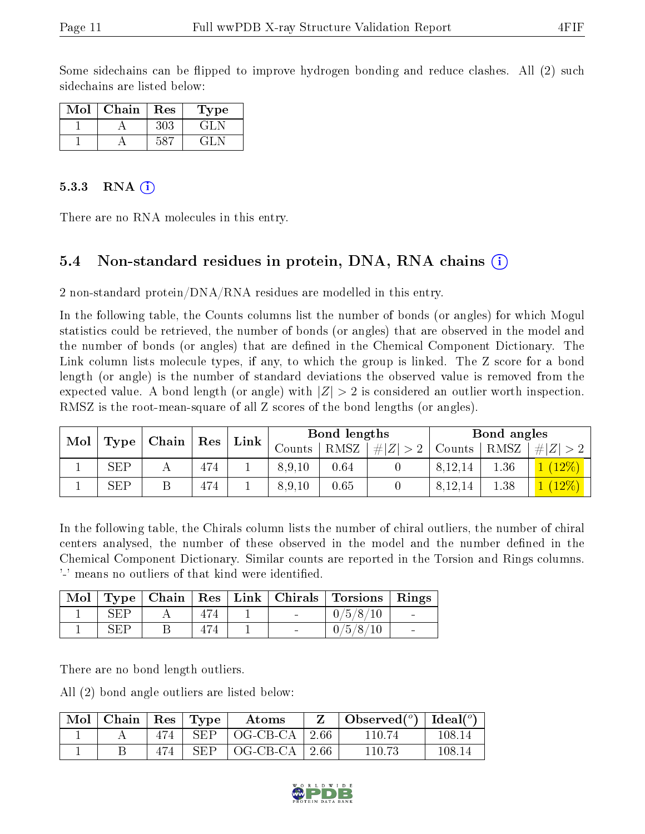Some sidechains can be flipped to improve hydrogen bonding and reduce clashes. All (2) such sidechains are listed below:

| Mol | Chain | Res | Type    |
|-----|-------|-----|---------|
|     |       | 303 | ا را آن |
|     |       |     | 41.     |

#### 5.3.3 RNA  $(i)$

There are no RNA molecules in this entry.

#### 5.4 Non-standard residues in protein, DNA, RNA chains (i)

2 non-standard protein/DNA/RNA residues are modelled in this entry.

In the following table, the Counts columns list the number of bonds (or angles) for which Mogul statistics could be retrieved, the number of bonds (or angles) that are observed in the model and the number of bonds (or angles) that are dened in the Chemical Component Dictionary. The Link column lists molecule types, if any, to which the group is linked. The Z score for a bond length (or angle) is the number of standard deviations the observed value is removed from the expected value. A bond length (or angle) with  $|Z| > 2$  is considered an outlier worth inspection. RMSZ is the root-mean-square of all Z scores of the bond lengths (or angles).

| Mol |            | Type   Chain |                |  |                        |      |             |         | $Link \mid$ |          | Bond lengths |  |  | Bond angles |  |
|-----|------------|--------------|----------------|--|------------------------|------|-------------|---------|-------------|----------|--------------|--|--|-------------|--|
|     |            |              | $^{\circ}$ Res |  | $\mathrm{Counts}^{-1}$ | RMSZ | # $ Z  > 2$ | Counts  | RMSZ        | $\# Z $  |              |  |  |             |  |
|     | <b>SEP</b> |              | 474            |  | 8,9,10                 | 0.64 |             | 8,12,14 | 1.36        | $(12\%)$ |              |  |  |             |  |
|     | <b>SEP</b> |              | 474            |  | 8,9,10                 | 0.65 |             | 8,12,14 | 1.38        | $(12\%)$ |              |  |  |             |  |

In the following table, the Chirals column lists the number of chiral outliers, the number of chiral centers analysed, the number of these observed in the model and the number defined in the Chemical Component Dictionary. Similar counts are reported in the Torsion and Rings columns. '-' means no outliers of that kind were identified.

|      |  |        | Mol   Type   Chain   Res   Link   Chirals   Torsions   Rings |                          |
|------|--|--------|--------------------------------------------------------------|--------------------------|
| SEP. |  |        | /5/8/10<br>0/                                                | <b>Contract Contract</b> |
| RFP  |  | $\sim$ | 0/5/8/10                                                     | $\overline{\phantom{a}}$ |

There are no bond length outliers.

All (2) bond angle outliers are listed below:

| $\mid$ Mol $\mid$ Chain $\mid$ Res $\mid$ Type $\mid$ |     |            | Atoms                         | $\bullet$ Observed( $^o$ )   Ideal( $^o$ ) |        |
|-------------------------------------------------------|-----|------------|-------------------------------|--------------------------------------------|--------|
|                                                       |     |            | $474$   SEP   OG-CB-CA   2.66 | 110.74                                     | 108.14 |
|                                                       | 474 | <b>SEP</b> | $\vert$ OG-CB-CA $\vert$ 2.66 | 110 73                                     | 108.14 |

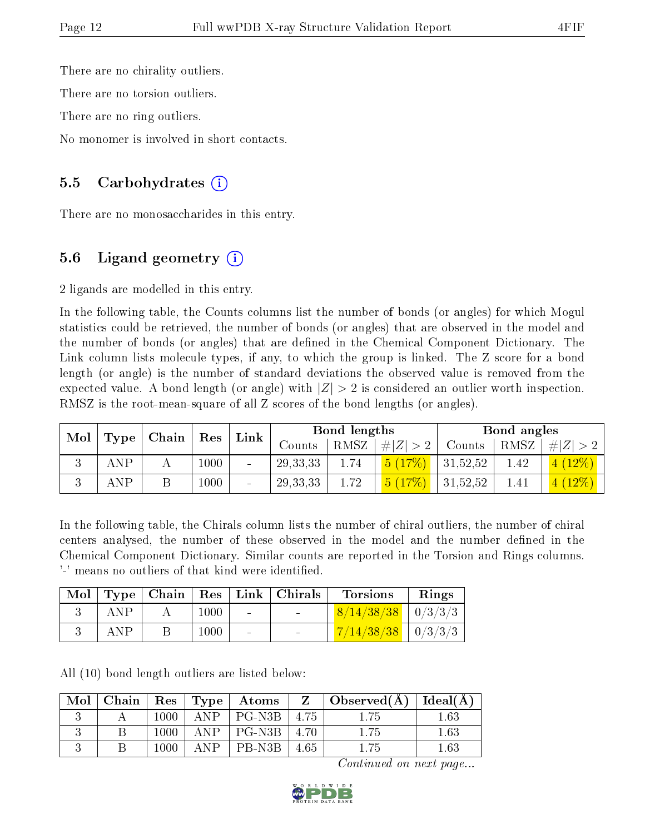There are no chirality outliers.

There are no torsion outliers.

There are no ring outliers.

No monomer is involved in short contacts.

#### 5.5 Carbohydrates  $(i)$

There are no monosaccharides in this entry.

### 5.6 Ligand geometry  $(i)$

2 ligands are modelled in this entry.

In the following table, the Counts columns list the number of bonds (or angles) for which Mogul statistics could be retrieved, the number of bonds (or angles) that are observed in the model and the number of bonds (or angles) that are defined in the Chemical Component Dictionary. The Link column lists molecule types, if any, to which the group is linked. The Z score for a bond length (or angle) is the number of standard deviations the observed value is removed from the expected value. A bond length (or angle) with  $|Z| > 2$  is considered an outlier worth inspection. RMSZ is the root-mean-square of all Z scores of the bond lengths (or angles).

| Mol |            |                         |      | Link                     | Bond lengths |      |        | Bond angles |      |          |
|-----|------------|-------------------------|------|--------------------------|--------------|------|--------|-------------|------|----------|
|     | Type       | $\mid$ Chain $\mid$ Res |      |                          | Counts       | RMSZ | # Z    | Counts      | RMSZ | # Z      |
|     | <b>ANP</b> |                         | 1000 | $\blacksquare$           | 29, 33, 33   | 1.74 | 5(17%) | 31,52,52    | 1.42 | $(12\%)$ |
|     | ANP        |                         | 000  | $\overline{\phantom{0}}$ | 29, 33, 33   | 1.72 | 5(17%) | 31,52,52    | 1.41 | 4(12%)   |

In the following table, the Chirals column lists the number of chiral outliers, the number of chiral centers analysed, the number of these observed in the model and the number defined in the Chemical Component Dictionary. Similar counts are reported in the Torsion and Rings columns. '-' means no outliers of that kind were identified.

| Mol |     |      |        | $\vert$ Type   Chain   Res   Link   Chirals | <b>Torsions</b>        | Rings |
|-----|-----|------|--------|---------------------------------------------|------------------------|-------|
|     | ANP | 1000 | $\sim$ |                                             | $8/14/38/38$   0/3/3/3 |       |
|     | ANP | 1000 |        |                                             | $7/14/38/38$   0/3/3/3 |       |

All (10) bond length outliers are listed below:

| Mol | $\mid$ Chain $\mid$ |          |             |        |            | $Res   Type   Atoms   Z   Observed(A)   Ideal(A)  $ |     |
|-----|---------------------|----------|-------------|--------|------------|-----------------------------------------------------|-----|
|     |                     | $1000\,$ | $\Delta NP$ | PG-N3B | -4.75      | 1.75                                                | .63 |
|     |                     | 1000     | $\Delta NP$ | PG-N3B | $\pm 4.70$ | 1.75                                                | .63 |
|     |                     | 1000     | $\Delta NP$ | PB-N3B | 4.65       | .75                                                 | .63 |

Continued on next page...

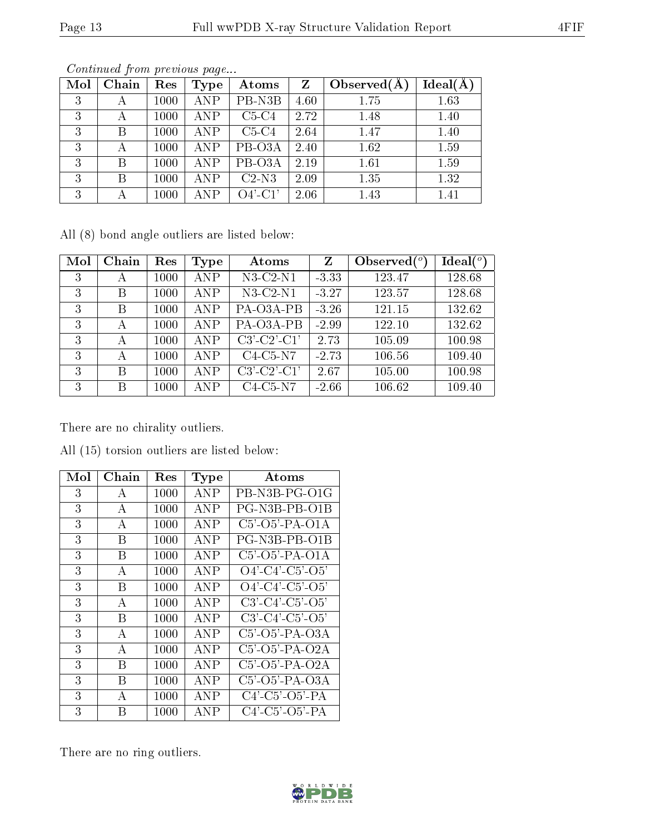| Mol | Chain | Res  | $_{\rm Type}$ | Atoms      | Z    | Observed $(A$ | Ideal(A) |
|-----|-------|------|---------------|------------|------|---------------|----------|
| 3   | А     | 1000 | <b>ANP</b>    | PB-N3B     | 4.60 | 1.75          | 1.63     |
| 3   | А     | 1000 | <b>ANP</b>    | $C5-C4$    | 2.72 | 1.48          | 1.40     |
| 3   | В     | 1000 | <b>ANP</b>    | $C5-C4$    | 2.64 | 1.47          | 1.40     |
| 3   | А     | 1000 | <b>ANP</b>    | PB-O3A     | 2.40 | 1.62          | 1.59     |
| 3   | В     | 1000 | <b>ANP</b>    | PB-O3A     | 2.19 | 1.61          | 1.59     |
| 3   | Β     | 1000 | <b>ANP</b>    | $C2-N3$    | 2.09 | 1.35          | 1.32     |
| 3   | А     | 1000 | ANP           | $O4'$ -C1' | 2.06 | 1.43          | 1.41     |

Continued from previous page...

All (8) bond angle outliers are listed below:

| Mol | Chain | Res  | Type | Atoms          | Z       | Observed $(°)$ | Ideal(°) |
|-----|-------|------|------|----------------|---------|----------------|----------|
| 3   | А     | 1000 | ANP  | $N3-C2-N1$     | $-3.33$ | 123.47         | 128.68   |
| 3   | В     | 1000 | ANP  | $N3$ -C2- $N1$ | $-3.27$ | 123.57         | 128.68   |
| 3   | В     | 1000 | ANP  | PA-O3A-PB      | $-3.26$ | 121.15         | 132.62   |
| 3   | А     | 1000 | ANP  | PA-O3A-PB      | $-2.99$ | 122.10         | 132.62   |
| 3   | А     | 1000 | ANP  | $C3'-C2'-C1'$  | 2.73    | 105.09         | 100.98   |
| 3   | А     | 1000 | ANP  | $C4-C5-N7$     | $-2.73$ | 106.56         | 109.40   |
| 3   | В     | 1000 | ANP  | $C3'-C2'-C1'$  | 2.67    | 105.00         | 100.98   |
| 3   | В     | 1000 | ANP  | $C4-C5-N7$     | $-2.66$ | 106.62         | 109.40   |

There are no chirality outliers.

| Mol | Chain          | Res  | Type | Atoms                         |
|-----|----------------|------|------|-------------------------------|
| 3   | А              | 1000 | ANP  | PB-N3B-PG-O1G                 |
| 3   | $\overline{A}$ | 1000 | ANP  | PG-N3B-PB-O1B                 |
| 3   | $\bf{A}$       | 1000 | ANP  | $C5'$ - $O5'$ -PA- $O1A$      |
| 3   | B              | 1000 | ANP  | PG-N3B-PB-O1B                 |
| 3   | В              | 1000 | ANP  | $C5'$ -O5'-PA-O1A             |
| 3   | A              | 1000 | ANP  | $O4'$ -C4'-C5'-O5'            |
| 3   | B              | 1000 | ANP  | $O4'$ -C4'-C5'-O5'            |
| 3   | $\overline{A}$ | 1000 | ANP  | $C3'-C4'-C5'-O5'$             |
| 3   | B              | 1000 | ANP  | $C3'$ - $C4'$ - $C5'$ - $O5'$ |
| 3   | A              | 1000 | ANP  | $C5'$ -O5'-PA-O3A             |
| 3   | $\overline{A}$ | 1000 | ANP  | $C5'$ -O5'-PA-O2A             |
| 3   | B              | 1000 | ANP  | $C5'$ - $O5'$ -PA- $O2A$      |
| 3   | В              | 1000 | ANP  | $C5'$ -O5'-PA-O3A             |
| 3   | $\mathbf{A}$   | 1000 | ANP  | $C4'$ - $C5'$ - $O5'$ - $PA$  |
| 3   | B              | 1000 | ANP  | $C4'$ - $C5'$ - $O5'$ - $PA$  |

All (15) torsion outliers are listed below:

There are no ring outliers.

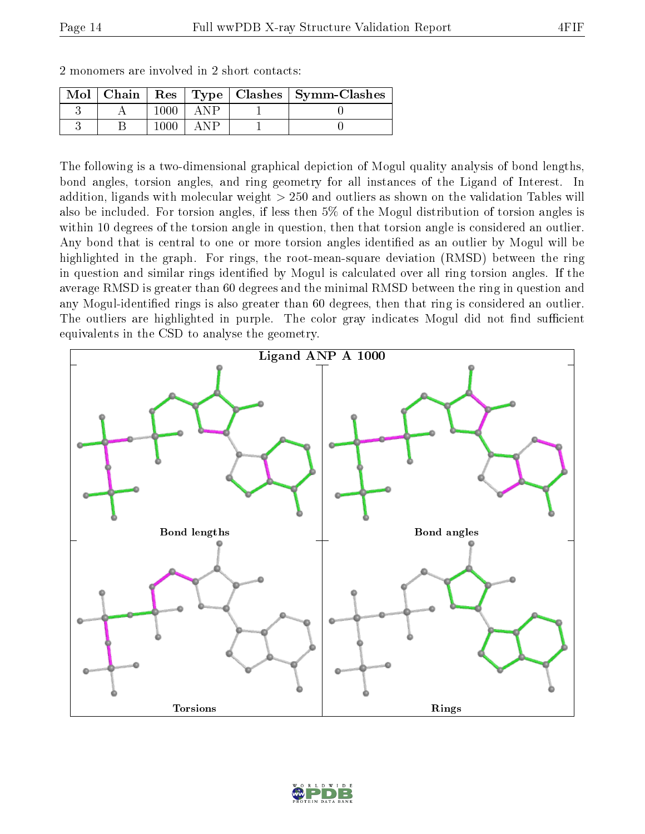|  |  | Mol   Chain   Res   Type   Clashes   Symm-Clashes |
|--|--|---------------------------------------------------|
|  |  |                                                   |
|  |  |                                                   |

2 monomers are involved in 2 short contacts:

The following is a two-dimensional graphical depiction of Mogul quality analysis of bond lengths, bond angles, torsion angles, and ring geometry for all instances of the Ligand of Interest. In addition, ligands with molecular weight > 250 and outliers as shown on the validation Tables will also be included. For torsion angles, if less then 5% of the Mogul distribution of torsion angles is within 10 degrees of the torsion angle in question, then that torsion angle is considered an outlier. Any bond that is central to one or more torsion angles identified as an outlier by Mogul will be highlighted in the graph. For rings, the root-mean-square deviation (RMSD) between the ring in question and similar rings identified by Mogul is calculated over all ring torsion angles. If the average RMSD is greater than 60 degrees and the minimal RMSD between the ring in question and any Mogul-identified rings is also greater than 60 degrees, then that ring is considered an outlier. The outliers are highlighted in purple. The color gray indicates Mogul did not find sufficient equivalents in the CSD to analyse the geometry.



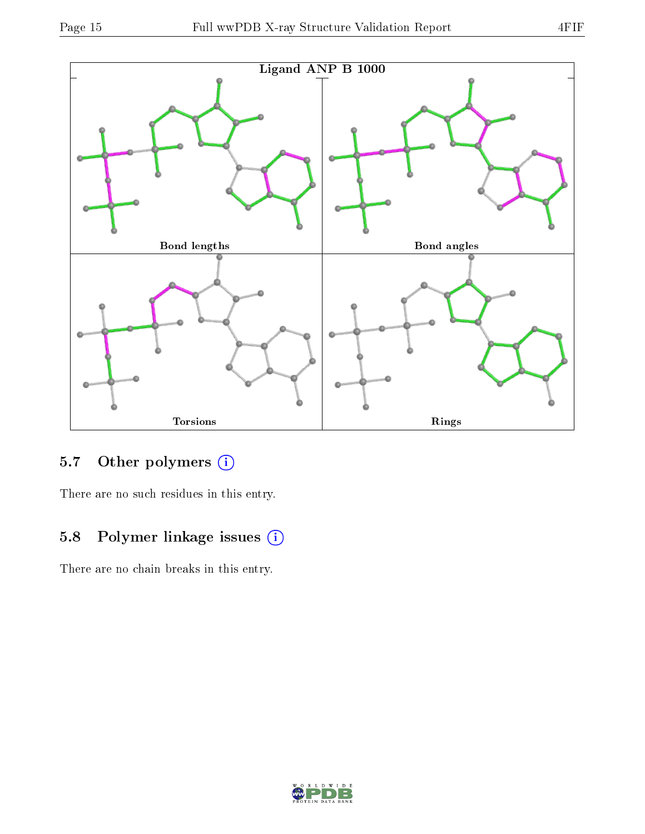



## 5.7 [O](https://www.wwpdb.org/validation/2017/XrayValidationReportHelp#nonstandard_residues_and_ligands)ther polymers (i)

There are no such residues in this entry.

### 5.8 Polymer linkage issues (i)

There are no chain breaks in this entry.

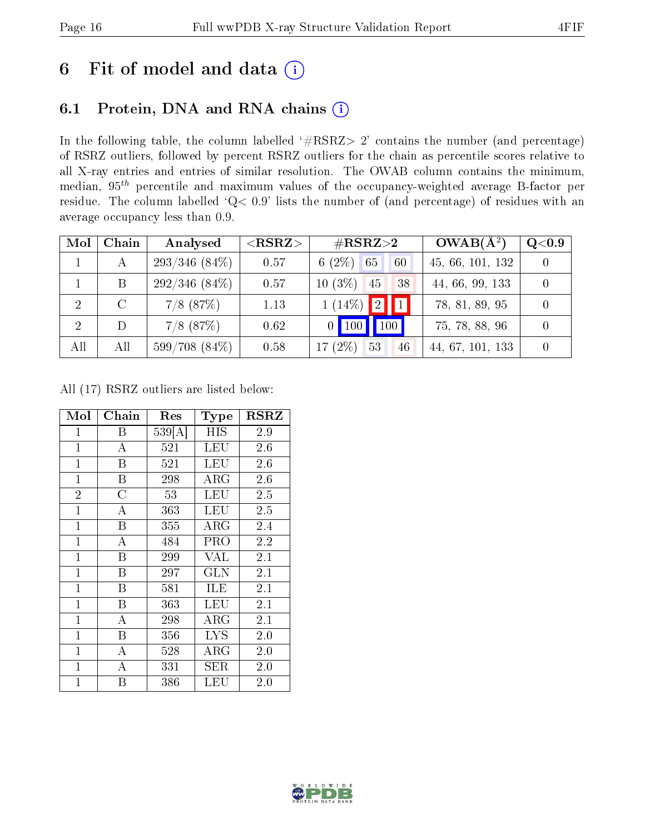## 6 Fit of model and data  $(i)$

### 6.1 Protein, DNA and RNA chains  $(i)$

In the following table, the column labelled  $#RSRZ> 2'$  contains the number (and percentage) of RSRZ outliers, followed by percent RSRZ outliers for the chain as percentile scores relative to all X-ray entries and entries of similar resolution. The OWAB column contains the minimum, median,  $95<sup>th</sup>$  percentile and maximum values of the occupancy-weighted average B-factor per residue. The column labelled ' $Q< 0.9$ ' lists the number of (and percentage) of residues with an average occupancy less than 0.9.

| Mol           | Chain | Analysed        | ${ <\hspace{-1.5pt}{\mathrm{RSRZ}} \hspace{-1.5pt}>}$ | $\#\text{RSRZ}\text{>2}$       | $OWAB(A^2)$      | Q <sub>0.9</sub> |
|---------------|-------|-----------------|-------------------------------------------------------|--------------------------------|------------------|------------------|
|               | А     | $293/346(84\%)$ | 0.57                                                  | 6 $(2\%)$<br>65<br>60          | 45, 66, 101, 132 |                  |
|               |       | $292/346(84\%)$ | 0.57                                                  | $10(3\%)$<br>45<br>38          | 44, 66, 99, 133  |                  |
| 2             | C     | $7/8$ $(87%)$   | 1.13                                                  | $1(14\%)$ 2<br>$\vert 1 \vert$ | 78, 81, 89, 95   |                  |
| $\mathcal{D}$ |       | $7/8$ $(87%)$   | 0.62                                                  | 100<br>$0$   100               | 75, 78, 88, 96   |                  |
| All           | All   | $599/708(84\%)$ | 0.58                                                  | 17 $(2\%)$<br>53<br>46         | 44, 67, 101, 133 |                  |

All (17) RSRZ outliers are listed below:

| Mol            | Chain                   | Res    | Type        | <b>RSRZ</b> |
|----------------|-------------------------|--------|-------------|-------------|
| $\mathbf{1}$   | Β                       | 539[A] | <b>HIS</b>  | 2.9         |
| $\mathbf{1}$   | $\bf{A}$                | 521    | LEU         | 2.6         |
| $\mathbf{1}$   | $\overline{\mathrm{B}}$ | 521    | LEU         | 2.6         |
| $\mathbf{1}$   | $\overline{B}$          | 298    | $\rm{ARG}$  | 2.6         |
| $\overline{2}$ | $\overline{\rm C}$      | 53     | LEU         | 2.5         |
| $\mathbf{1}$   | A                       | 363    | LEU         | $2.5\,$     |
| $\mathbf{1}$   | B                       | 355    | $\rm{ARG}$  | 2.4         |
| $\mathbf{1}$   | А                       | 484    | PRO         | $2.2\,$     |
| $\mathbf{1}$   | $\overline{B}$          | 299    | VAL         | 2.1         |
| $\mathbf{1}$   | $\overline{\mathrm{B}}$ | 297    | GLN         | 2.1         |
| $\mathbf{1}$   | B                       | 581    | ILE         | 2.1         |
| $\mathbf{1}$   | $\overline{\mathrm{B}}$ | 363    | LEU         | 2.1         |
| $\mathbf{1}$   | $\overline{A}$          | 298    | $\rm{ARG}$  | 2.1         |
| $\mathbf{1}$   | B                       | 356    | <b>LYS</b>  | 2.0         |
| $\mathbf{1}$   | $\overline{\rm A}$      | 528    | $\rm{ARG}$  | 2.0         |
| $\mathbf{1}$   | $\mathbf{A}$            | 331    | ${\rm SER}$ | 2.0         |
| $\mathbf{1}$   | Β                       | 386    | LEU         | 2.0         |

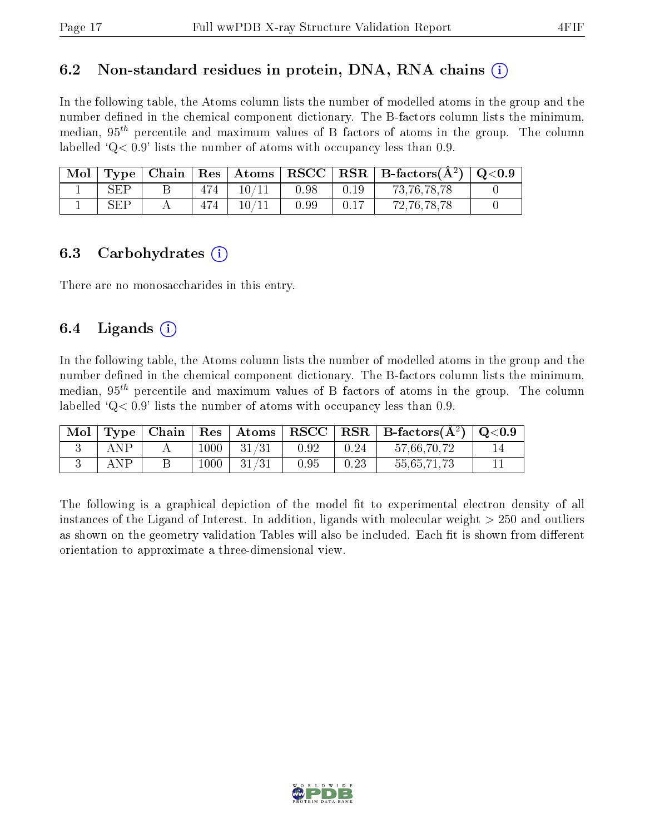#### 6.2 Non-standard residues in protein, DNA, RNA chains  $(i)$

In the following table, the Atoms column lists the number of modelled atoms in the group and the number defined in the chemical component dictionary. The B-factors column lists the minimum, median,  $95<sup>th</sup>$  percentile and maximum values of B factors of atoms in the group. The column labelled  $Q < 0.9$ ' lists the number of atoms with occupancy less than 0.9.

| Mol |                      |     | Type   Chain   Res   Atoms   RSCC |      |      | $\mid$ RSR $\mid$ B-factors( $\AA^2$ ) $\mid$ Q<0.9 |  |
|-----|----------------------|-----|-----------------------------------|------|------|-----------------------------------------------------|--|
|     | $\operatorname{SEP}$ | 474 | 10/11                             | 0.98 | 0.19 | 73, 76, 78, 78                                      |  |
|     | SEP                  |     | $10\,/\!11$                       | 0.99 | 0.17 | 72, 76, 78, 78                                      |  |

#### 6.3 Carbohydrates (i)

There are no monosaccharides in this entry.

#### 6.4 Ligands  $(i)$

In the following table, the Atoms column lists the number of modelled atoms in the group and the number defined in the chemical component dictionary. The B-factors column lists the minimum, median,  $95<sup>th</sup>$  percentile and maximum values of B factors of atoms in the group. The column labelled  $Q< 0.9$  lists the number of atoms with occupancy less than 0.9.

| $\text{Mol}$ |     |        | $\vert$ Type $\vert$ Chain $\vert$ Res $\vert$ Atoms $\vert$ RSCC $\vert$ |      |      | $R\,R + B$ -factors $(A^2)$   Q<0.9 |  |
|--------------|-----|--------|---------------------------------------------------------------------------|------|------|-------------------------------------|--|
|              | ANP | $1000$ | 31/31                                                                     | 0.92 | 0.24 | 57,66,70,72                         |  |
|              | ANP | 1000   | $-31/31$                                                                  | 0.95 | 0.23 | 55,65,71,73                         |  |

The following is a graphical depiction of the model fit to experimental electron density of all instances of the Ligand of Interest. In addition, ligands with molecular weight  $> 250$  and outliers as shown on the geometry validation Tables will also be included. Each fit is shown from different orientation to approximate a three-dimensional view.

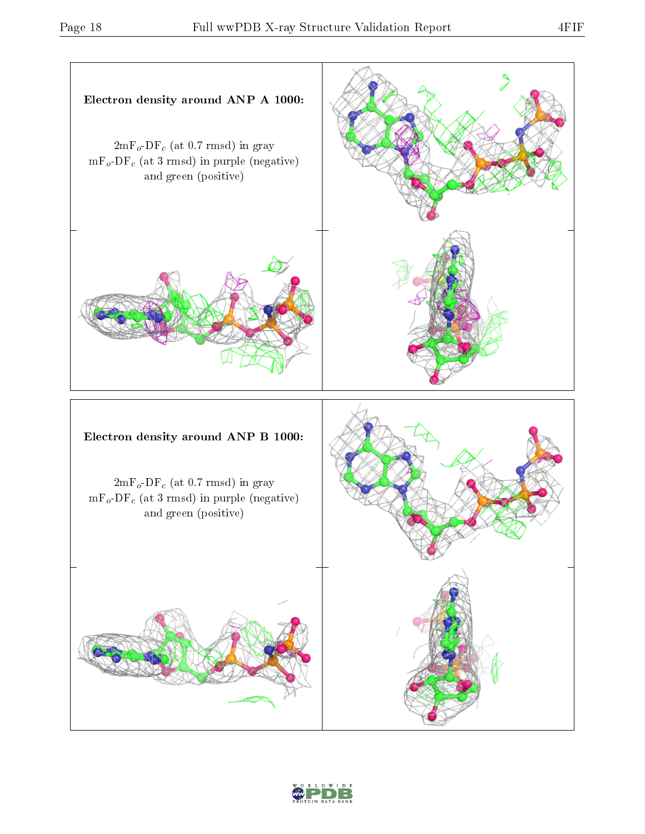